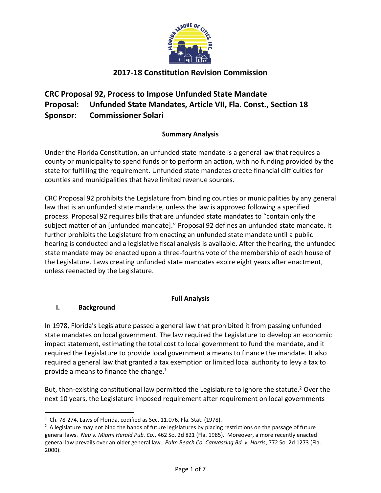

# **2017-18 Constitution Revision Commission**

# **CRC Proposal 92, Process to Impose Unfunded State Mandate Proposal: Unfunded State Mandates, Article VII, Fla. Const., Section 18 Sponsor: Commissioner Solari**

#### **Summary Analysis**

Under the Florida Constitution, an unfunded state mandate is a general law that requires a county or municipality to spend funds or to perform an action, with no funding provided by the state for fulfilling the requirement. Unfunded state mandates create financial difficulties for counties and municipalities that have limited revenue sources.

CRC Proposal 92 prohibits the Legislature from binding counties or municipalities by any general law that is an unfunded state mandate, unless the law is approved following a specified process. Proposal 92 requires bills that are unfunded state mandates to "contain only the subject matter of an [unfunded mandate]." Proposal 92 defines an unfunded state mandate. It further prohibits the Legislature from enacting an unfunded state mandate until a public hearing is conducted and a legislative fiscal analysis is available. After the hearing, the unfunded state mandate may be enacted upon a three-fourths vote of the membership of each house of the Legislature. Laws creating unfunded state mandates expire eight years after enactment, unless reenacted by the Legislature.

#### **Full Analysis**

#### **I. Background**

 $\overline{\phantom{a}}$ 

In 1978, Florida's Legislature passed a general law that prohibited it from passing unfunded state mandates on local government. The law required the Legislature to develop an economic impact statement, estimating the total cost to local government to fund the mandate, and it required the Legislature to provide local government a means to finance the mandate. It also required a general law that granted a tax exemption or limited local authority to levy a tax to provide a means to finance the change.<sup>1</sup>

But, then-existing constitutional law permitted the Legislature to ignore the statute.<sup>2</sup> Over the next 10 years, the Legislature imposed requirement after requirement on local governments

 $1$  Ch. 78-274, Laws of Florida, codified as Sec. 11.076, Fla. Stat. (1978).

 $2$  A legislature may not bind the hands of future legislatures by placing restrictions on the passage of future general laws. *Neu v. Miami Herald Pub. Co.*, 462 So. 2d 821 (Fla. 1985). Moreover, a more recently enacted general law prevails over an older general law. *Palm Beach Co. Canvassing Bd. v. Harris*, 772 So. 2d 1273 (Fla. 2000).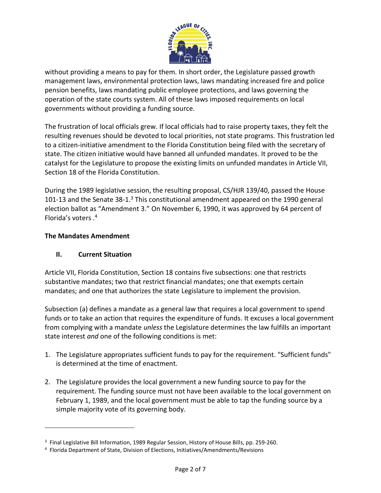

without providing a means to pay for them. In short order, the Legislature passed growth management laws, environmental protection laws, laws mandating increased fire and police pension benefits, laws mandating public employee protections, and laws governing the operation of the state courts system. All of these laws imposed requirements on local governments without providing a funding source.

The frustration of local officials grew. If local officials had to raise property taxes, they felt the resulting revenues should be devoted to local priorities, not state programs. This frustration led to a citizen-initiative amendment to the Florida Constitution being filed with the secretary of state. The citizen initiative would have banned all unfunded mandates. It proved to be the catalyst for the Legislature to propose the existing limits on unfunded mandates in Article VII, Section 18 of the Florida Constitution.

During the 1989 legislative session, the resulting proposal, CS/HJR 139/40, passed the House 101-13 and the Senate 38-1. $3$  This constitutional amendment appeared on the 1990 general election ballot as "Amendment 3." On November 6, 1990, it was approved by 64 percent of Florida's voters . 4

#### **The Mandates Amendment**

 $\overline{a}$ 

# **II. Current Situation**

Article VII, Florida Constitution, Section 18 contains five subsections: one that restricts substantive mandates; two that restrict financial mandates; one that exempts certain mandates; and one that authorizes the state Legislature to implement the provision.

Subsection (a) defines a mandate as a general law that requires a local government to spend funds or to take an action that requires the expenditure of funds. It excuses a local government from complying with a mandate *unless* the Legislature determines the law fulfills an important state interest *and* one of the following conditions is met:

- 1. The Legislature appropriates sufficient funds to pay for the requirement. "Sufficient funds" is determined at the time of enactment.
- 2. The Legislature provides the local government a new funding source to pay for the requirement. The funding source must not have been available to the local government on February 1, 1989, and the local government must be able to tap the funding source by a simple majority vote of its governing body.

<sup>&</sup>lt;sup>3</sup> Final Legislative Bill Information, 1989 Regular Session, History of House Bills, pp. 259-260.

<sup>4</sup> Florida Department of State, Division of Elections, Initiatives/Amendments/Revisions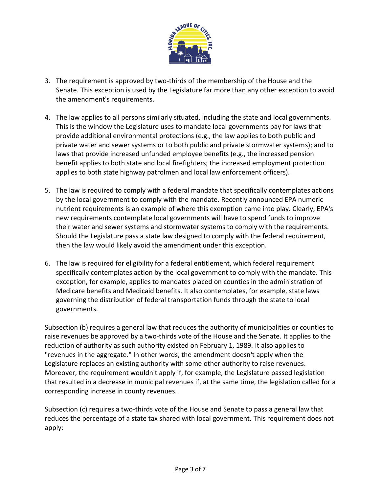

- 3. The requirement is approved by two-thirds of the membership of the House and the Senate. This exception is used by the Legislature far more than any other exception to avoid the amendment's requirements.
- 4. The law applies to all persons similarly situated, including the state and local governments. This is the window the Legislature uses to mandate local governments pay for laws that provide additional environmental protections (e.g., the law applies to both public and private water and sewer systems or to both public and private stormwater systems); and to laws that provide increased unfunded employee benefits (e.g., the increased pension benefit applies to both state and local firefighters; the increased employment protection applies to both state highway patrolmen and local law enforcement officers).
- 5. The law is required to comply with a federal mandate that specifically contemplates actions by the local government to comply with the mandate. Recently announced EPA numeric nutrient requirements is an example of where this exemption came into play. Clearly, EPA's new requirements contemplate local governments will have to spend funds to improve their water and sewer systems and stormwater systems to comply with the requirements. Should the Legislature pass a state law designed to comply with the federal requirement, then the law would likely avoid the amendment under this exception.
- 6. The law is required for eligibility for a federal entitlement, which federal requirement specifically contemplates action by the local government to comply with the mandate. This exception, for example, applies to mandates placed on counties in the administration of Medicare benefits and Medicaid benefits. It also contemplates, for example, state laws governing the distribution of federal transportation funds through the state to local governments.

Subsection (b) requires a general law that reduces the authority of municipalities or counties to raise revenues be approved by a two-thirds vote of the House and the Senate. It applies to the reduction of authority as such authority existed on February 1, 1989. It also applies to "revenues in the aggregate." In other words, the amendment doesn't apply when the Legislature replaces an existing authority with some other authority to raise revenues. Moreover, the requirement wouldn't apply if, for example, the Legislature passed legislation that resulted in a decrease in municipal revenues if, at the same time, the legislation called for a corresponding increase in county revenues.

Subsection (c) requires a two-thirds vote of the House and Senate to pass a general law that reduces the percentage of a state tax shared with local government. This requirement does not apply: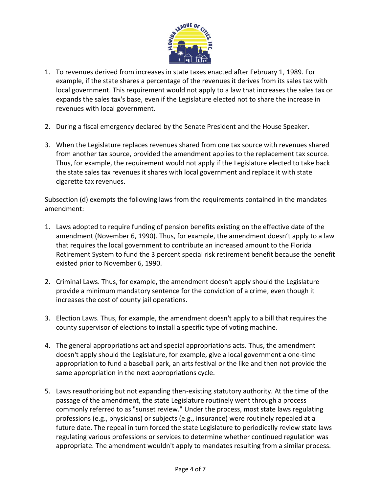

- 1. To revenues derived from increases in state taxes enacted after February 1, 1989. For example, if the state shares a percentage of the revenues it derives from its sales tax with local government. This requirement would not apply to a law that increases the sales tax or expands the sales tax's base, even if the Legislature elected not to share the increase in revenues with local government.
- 2. During a fiscal emergency declared by the Senate President and the House Speaker.
- 3. When the Legislature replaces revenues shared from one tax source with revenues shared from another tax source, provided the amendment applies to the replacement tax source. Thus, for example, the requirement would not apply if the Legislature elected to take back the state sales tax revenues it shares with local government and replace it with state cigarette tax revenues.

Subsection (d) exempts the following laws from the requirements contained in the mandates amendment:

- 1. Laws adopted to require funding of pension benefits existing on the effective date of the amendment (November 6, 1990). Thus, for example, the amendment doesn't apply to a law that requires the local government to contribute an increased amount to the Florida Retirement System to fund the 3 percent special risk retirement benefit because the benefit existed prior to November 6, 1990.
- 2. Criminal Laws. Thus, for example, the amendment doesn't apply should the Legislature provide a minimum mandatory sentence for the conviction of a crime, even though it increases the cost of county jail operations.
- 3. Election Laws. Thus, for example, the amendment doesn't apply to a bill that requires the county supervisor of elections to install a specific type of voting machine.
- 4. The general appropriations act and special appropriations acts. Thus, the amendment doesn't apply should the Legislature, for example, give a local government a one-time appropriation to fund a baseball park, an arts festival or the like and then not provide the same appropriation in the next appropriations cycle.
- 5. Laws reauthorizing but not expanding then-existing statutory authority. At the time of the passage of the amendment, the state Legislature routinely went through a process commonly referred to as "sunset review." Under the process, most state laws regulating professions (e.g., physicians) or subjects (e.g., insurance) were routinely repealed at a future date. The repeal in turn forced the state Legislature to periodically review state laws regulating various professions or services to determine whether continued regulation was appropriate. The amendment wouldn't apply to mandates resulting from a similar process.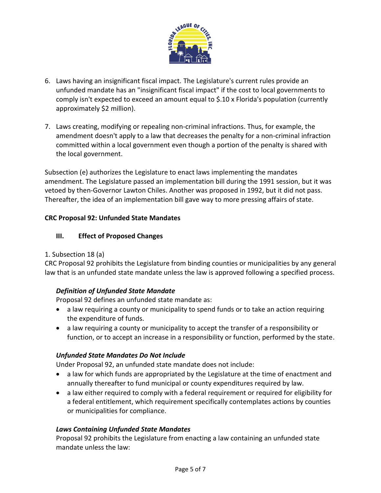

- 6. Laws having an insignificant fiscal impact. The Legislature's current rules provide an unfunded mandate has an "insignificant fiscal impact" if the cost to local governments to comply isn't expected to exceed an amount equal to \$.10 x Florida's population (currently approximately \$2 million).
- 7. Laws creating, modifying or repealing non-criminal infractions. Thus, for example, the amendment doesn't apply to a law that decreases the penalty for a non-criminal infraction committed within a local government even though a portion of the penalty is shared with the local government.

Subsection (e) authorizes the Legislature to enact laws implementing the mandates amendment. The Legislature passed an implementation bill during the 1991 session, but it was vetoed by then-Governor Lawton Chiles. Another was proposed in 1992, but it did not pass. Thereafter, the idea of an implementation bill gave way to more pressing affairs of state.

## **CRC Proposal 92: Unfunded State Mandates**

# **III. Effect of Proposed Changes**

#### 1. Subsection 18 (a)

CRC Proposal 92 prohibits the Legislature from binding counties or municipalities by any general law that is an unfunded state mandate unless the law is approved following a specified process.

#### *Definition of Unfunded State Mandate*

Proposal 92 defines an unfunded state mandate as:

- a law requiring a county or municipality to spend funds or to take an action requiring the expenditure of funds.
- a law requiring a county or municipality to accept the transfer of a responsibility or function, or to accept an increase in a responsibility or function, performed by the state.

# *Unfunded State Mandates Do Not Include*

Under Proposal 92, an unfunded state mandate does not include:

- a law for which funds are appropriated by the Legislature at the time of enactment and annually thereafter to fund municipal or county expenditures required by law.
- a law either required to comply with a federal requirement or required for eligibility for a federal entitlement, which requirement specifically contemplates actions by counties or municipalities for compliance.

# *Laws Containing Unfunded State Mandates*

Proposal 92 prohibits the Legislature from enacting a law containing an unfunded state mandate unless the law: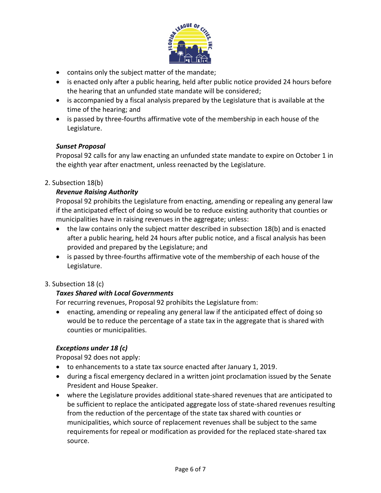

- contains only the subject matter of the mandate;
- is enacted only after a public hearing, held after public notice provided 24 hours before the hearing that an unfunded state mandate will be considered;
- is accompanied by a fiscal analysis prepared by the Legislature that is available at the time of the hearing; and
- is passed by three-fourths affirmative vote of the membership in each house of the Legislature.

## *Sunset Proposal*

Proposal 92 calls for any law enacting an unfunded state mandate to expire on October 1 in the eighth year after enactment, unless reenacted by the Legislature.

## 2. Subsection 18(b)

## *Revenue Raising Authority*

Proposal 92 prohibits the Legislature from enacting, amending or repealing any general law if the anticipated effect of doing so would be to reduce existing authority that counties or municipalities have in raising revenues in the aggregate; unless:

- the law contains only the subject matter described in subsection 18(b) and is enacted after a public hearing, held 24 hours after public notice, and a fiscal analysis has been provided and prepared by the Legislature; and
- is passed by three-fourths affirmative vote of the membership of each house of the Legislature.

# 3. Subsection 18 (c)

#### *Taxes Shared with Local Governments*

For recurring revenues, Proposal 92 prohibits the Legislature from:

• enacting, amending or repealing any general law if the anticipated effect of doing so would be to reduce the percentage of a state tax in the aggregate that is shared with counties or municipalities.

# *Exceptions under 18 (c)*

Proposal 92 does not apply:

- to enhancements to a state tax source enacted after January 1, 2019.
- during a fiscal emergency declared in a written joint proclamation issued by the Senate President and House Speaker.
- where the Legislature provides additional state-shared revenues that are anticipated to be sufficient to replace the anticipated aggregate loss of state-shared revenues resulting from the reduction of the percentage of the state tax shared with counties or municipalities, which source of replacement revenues shall be subject to the same requirements for repeal or modification as provided for the replaced state-shared tax source.